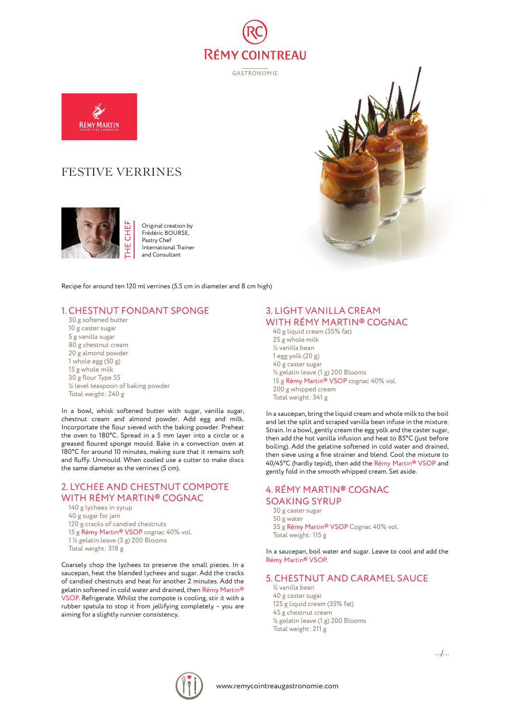

GASTRONOMIE



# FESTIVE VERRINES



Original creation by Frédéric BOURSE, Pastry Chef International Trainer and Consultant

Recipe for around ten 120 ml verrines (5.5 cm in diameter and 8 cm high)

## 1. CHESTNUT FONDANT SPONGE

30 g softened butter 10 g caster sugar 5 g vanilla sugar 80 g chestnut cream 20 g almond powder 1 whole egg (50 g) 15 g whole milk 30 g flour Type 55 ½ level teaspoon of baking powder Total weight: 240 g

In a bowl, whisk softened butter with sugar, vanilla sugar, chestnut cream and almond powder. Add egg and milk. Incorportate the flour sieved with the baking powder. Preheat the oven to 180°C. Spread in a 5 mm layer into a circle or a greased floured sponge mould. Bake in a convection oven at 180°C for around 10 minutes, making sure that it remains soft and fluffy. Unmould. When cooled use a cutter to make discs the same diameter as the verrines (5 cm).

# 2. LYCHEE AND CHESTNUT COMPOTE WITH RÉMY MARTIN® COGNAC

- 140 g lychees in syrup 40 g sugar for jam 120 g cracks of candied chestnuts 15 g Rémy Martin® VSOP cognac 40% vol. 1 ½ gelatin leave (3 g) 200 Blooms
- Total weight: 318 g

Coarsely chop the lychees to preserve the small pieces. In a saucepan, heat the blended lychees and sugar. Add the cracks of candied chestnuts and heat for another 2 minutes. Add the gelatin softened in cold water and drained, then Rémy Martin® VSOP. Refrigerate. Whilst the compote is cooling, stir it with a rubber spatula to stop it from jellifying completely – you are aiming for a slightly runnier consistency.

#### 3. LIGHT VANILLA CREAM WITH RÉMY MARTIN® COGNAC

40 g liquid cream (35% fat) 25 g whole milk ½ vanilla bean 1 egg yolk (20 g) 40 g caster sugar ½ gelatin leave (1 g) 200 Blooms 15 g Rémy Martin® VSOP cognac 40% vol. 200 g whipped cream Total weight: 341 g

In a saucepan, bring the liquid cream and whole milk to the boil and let the split and scraped vanilla bean infuse in the mixture. Strain. In a bowl, gently cream the egg yolk and the caster sugar, then add the hot vanilla infusion and heat to 85°C (just before boiling). Add the gelatine softened in cold water and drained, then sieve using a fine strainer and blend. Cool the mixture to 40/45°C (hardly tepid), then add the Rémy Martin® VSOP and gently fold in the smooth whipped cream. Set aside.

#### 4. RÉMY MARTIN® COGNAC SOAKING SYRUP

30 g caster sugar 50 g water 35 g Rémy Martin® VSOP Cognac 40% vol. Total weight: 115 g

In a saucepan, boil water and sugar. Leave to cool and add the Rémy Martin® VSOP.

## 5. CHESTNUT AND CARAMEL SAUCE

½ vanilla bean 40 g caster sugar 125 g liquid cream (35% fat) 45 g chestnut cream ½ gelatin leave (1 g) 200 Blooms Total weight: 211 g



.../...